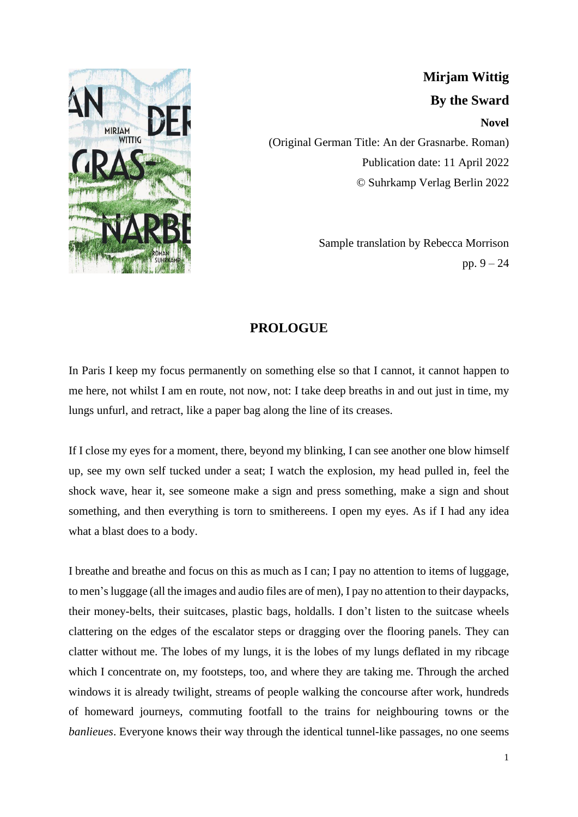

**Mirjam Wittig By the Sward Novel** (Original German Title: An der Grasnarbe. Roman) Publication date: 11 April 2022 © Suhrkamp Verlag Berlin 2022

> Sample translation by Rebecca Morrison pp. 9 – 24

## **PROLOGUE**

In Paris I keep my focus permanently on something else so that I cannot, it cannot happen to me here, not whilst I am en route, not now, not: I take deep breaths in and out just in time, my lungs unfurl, and retract, like a paper bag along the line of its creases.

If I close my eyes for a moment, there, beyond my blinking, I can see another one blow himself up, see my own self tucked under a seat; I watch the explosion, my head pulled in, feel the shock wave, hear it, see someone make a sign and press something, make a sign and shout something, and then everything is torn to smithereens. I open my eyes. As if I had any idea what a blast does to a body.

I breathe and breathe and focus on this as much as I can; I pay no attention to items of luggage, to men'sluggage (all the images and audio files are of men), I pay no attention to their daypacks, their money-belts, their suitcases, plastic bags, holdalls. I don't listen to the suitcase wheels clattering on the edges of the escalator steps or dragging over the flooring panels. They can clatter without me. The lobes of my lungs, it is the lobes of my lungs deflated in my ribcage which I concentrate on, my footsteps, too, and where they are taking me. Through the arched windows it is already twilight, streams of people walking the concourse after work, hundreds of homeward journeys, commuting footfall to the trains for neighbouring towns or the *banlieues*. Everyone knows their way through the identical tunnel-like passages, no one seems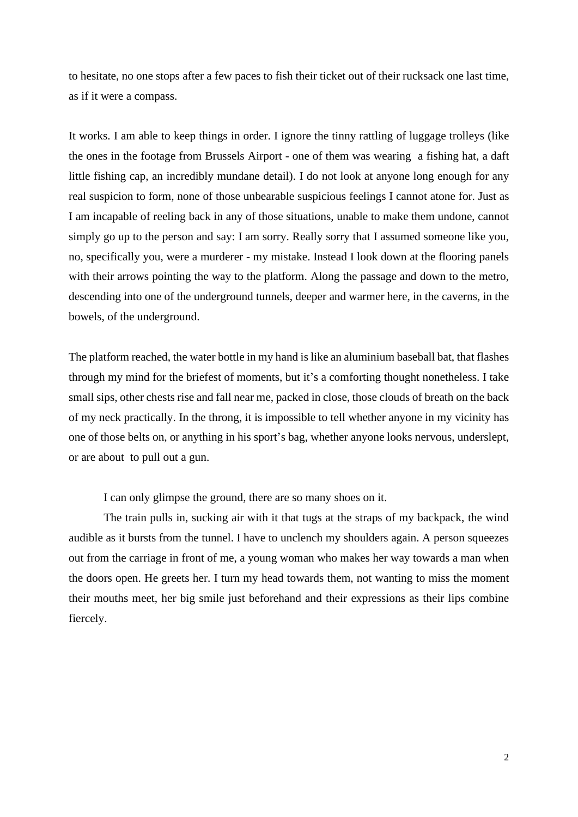to hesitate, no one stops after a few paces to fish their ticket out of their rucksack one last time, as if it were a compass.

It works. I am able to keep things in order. I ignore the tinny rattling of luggage trolleys (like the ones in the footage from Brussels Airport - one of them was wearing a fishing hat, a daft little fishing cap, an incredibly mundane detail). I do not look at anyone long enough for any real suspicion to form, none of those unbearable suspicious feelings I cannot atone for. Just as I am incapable of reeling back in any of those situations, unable to make them undone, cannot simply go up to the person and say: I am sorry. Really sorry that I assumed someone like you, no, specifically you, were a murderer - my mistake. Instead I look down at the flooring panels with their arrows pointing the way to the platform. Along the passage and down to the metro, descending into one of the underground tunnels, deeper and warmer here, in the caverns, in the bowels, of the underground.

The platform reached, the water bottle in my hand is like an aluminium baseball bat, that flashes through my mind for the briefest of moments, but it's a comforting thought nonetheless. I take small sips, other chests rise and fall near me, packed in close, those clouds of breath on the back of my neck practically. In the throng, it is impossible to tell whether anyone in my vicinity has one of those belts on, or anything in his sport's bag, whether anyone looks nervous, underslept, or are about to pull out a gun.

I can only glimpse the ground, there are so many shoes on it.

The train pulls in, sucking air with it that tugs at the straps of my backpack, the wind audible as it bursts from the tunnel. I have to unclench my shoulders again. A person squeezes out from the carriage in front of me, a young woman who makes her way towards a man when the doors open. He greets her. I turn my head towards them, not wanting to miss the moment their mouths meet, her big smile just beforehand and their expressions as their lips combine fiercely.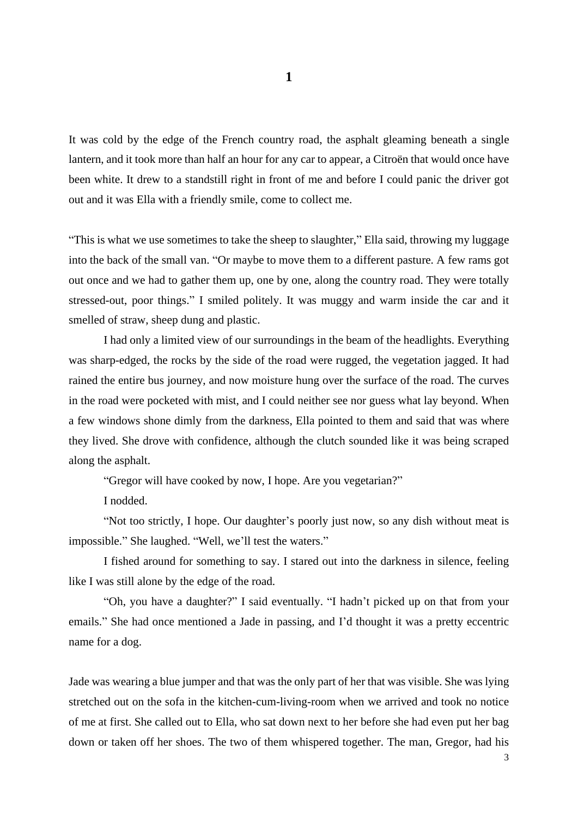It was cold by the edge of the French country road, the asphalt gleaming beneath a single lantern, and it took more than half an hour for any car to appear, a Citroën that would once have been white. It drew to a standstill right in front of me and before I could panic the driver got out and it was Ella with a friendly smile, come to collect me.

"This is what we use sometimes to take the sheep to slaughter," Ella said, throwing my luggage into the back of the small van. "Or maybe to move them to a different pasture. A few rams got out once and we had to gather them up, one by one, along the country road. They were totally stressed-out, poor things." I smiled politely. It was muggy and warm inside the car and it smelled of straw, sheep dung and plastic.

I had only a limited view of our surroundings in the beam of the headlights. Everything was sharp-edged, the rocks by the side of the road were rugged, the vegetation jagged. It had rained the entire bus journey, and now moisture hung over the surface of the road. The curves in the road were pocketed with mist, and I could neither see nor guess what lay beyond. When a few windows shone dimly from the darkness, Ella pointed to them and said that was where they lived. She drove with confidence, although the clutch sounded like it was being scraped along the asphalt.

"Gregor will have cooked by now, I hope. Are you vegetarian?"

I nodded.

"Not too strictly, I hope. Our daughter's poorly just now, so any dish without meat is impossible." She laughed. "Well, we'll test the waters."

I fished around for something to say. I stared out into the darkness in silence, feeling like I was still alone by the edge of the road.

"Oh, you have a daughter?" I said eventually. "I hadn't picked up on that from your emails." She had once mentioned a Jade in passing, and I'd thought it was a pretty eccentric name for a dog.

Jade was wearing a blue jumper and that was the only part of her that was visible. She was lying stretched out on the sofa in the kitchen-cum-living-room when we arrived and took no notice of me at first. She called out to Ella, who sat down next to her before she had even put her bag down or taken off her shoes. The two of them whispered together. The man, Gregor, had his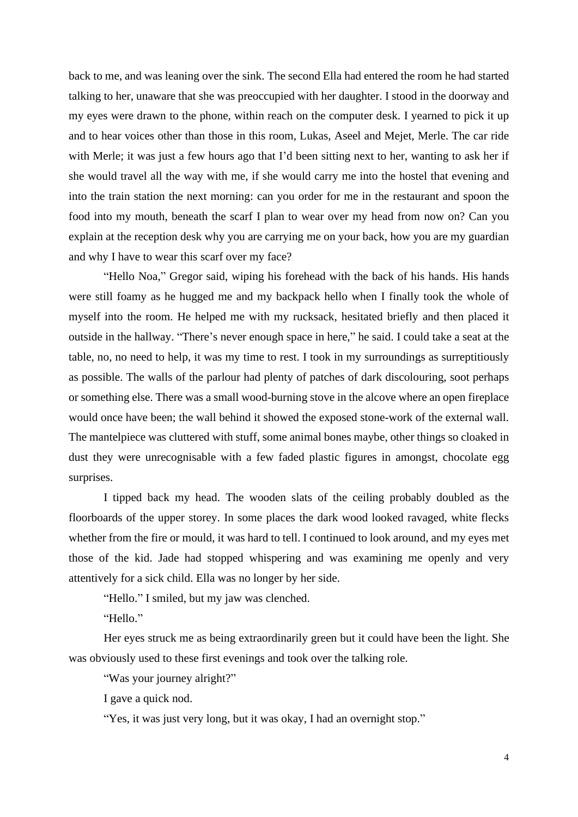back to me, and was leaning over the sink. The second Ella had entered the room he had started talking to her, unaware that she was preoccupied with her daughter. I stood in the doorway and my eyes were drawn to the phone, within reach on the computer desk. I yearned to pick it up and to hear voices other than those in this room, Lukas, Aseel and Mejet, Merle. The car ride with Merle; it was just a few hours ago that I'd been sitting next to her, wanting to ask her if she would travel all the way with me, if she would carry me into the hostel that evening and into the train station the next morning: can you order for me in the restaurant and spoon the food into my mouth, beneath the scarf I plan to wear over my head from now on? Can you explain at the reception desk why you are carrying me on your back, how you are my guardian and why I have to wear this scarf over my face?

"Hello Noa," Gregor said, wiping his forehead with the back of his hands. His hands were still foamy as he hugged me and my backpack hello when I finally took the whole of myself into the room. He helped me with my rucksack, hesitated briefly and then placed it outside in the hallway. "There's never enough space in here," he said. I could take a seat at the table, no, no need to help, it was my time to rest. I took in my surroundings as surreptitiously as possible. The walls of the parlour had plenty of patches of dark discolouring, soot perhaps or something else. There was a small wood-burning stove in the alcove where an open fireplace would once have been; the wall behind it showed the exposed stone-work of the external wall. The mantelpiece was cluttered with stuff, some animal bones maybe, other things so cloaked in dust they were unrecognisable with a few faded plastic figures in amongst, chocolate egg surprises.

I tipped back my head. The wooden slats of the ceiling probably doubled as the floorboards of the upper storey. In some places the dark wood looked ravaged, white flecks whether from the fire or mould, it was hard to tell. I continued to look around, and my eyes met those of the kid. Jade had stopped whispering and was examining me openly and very attentively for a sick child. Ella was no longer by her side.

"Hello." I smiled, but my jaw was clenched.

"Hello."

Her eyes struck me as being extraordinarily green but it could have been the light. She was obviously used to these first evenings and took over the talking role.

"Was your journey alright?"

I gave a quick nod.

"Yes, it was just very long, but it was okay, I had an overnight stop."

4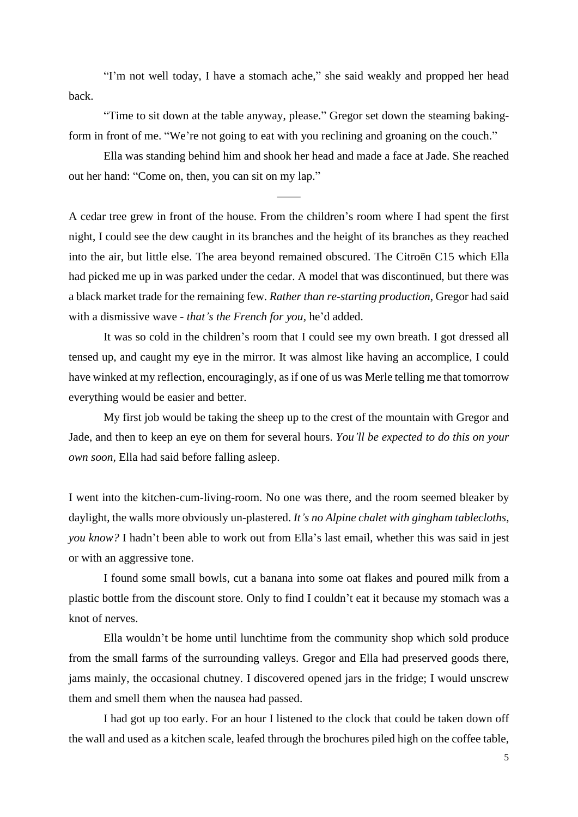"I'm not well today, I have a stomach ache," she said weakly and propped her head back.

"Time to sit down at the table anyway, please." Gregor set down the steaming bakingform in front of me. "We're not going to eat with you reclining and groaning on the couch."

Ella was standing behind him and shook her head and made a face at Jade. She reached out her hand: "Come on, then, you can sit on my lap."

——

A cedar tree grew in front of the house. From the children's room where I had spent the first night, I could see the dew caught in its branches and the height of its branches as they reached into the air, but little else. The area beyond remained obscured. The Citroën C15 which Ella had picked me up in was parked under the cedar. A model that was discontinued, but there was a black market trade for the remaining few. *Rather than re-starting production*, Gregor had said with a dismissive wave - *that's the French for you,* he'd added.

It was so cold in the children's room that I could see my own breath. I got dressed all tensed up, and caught my eye in the mirror. It was almost like having an accomplice, I could have winked at my reflection, encouragingly, as if one of us was Merle telling me that tomorrow everything would be easier and better.

My first job would be taking the sheep up to the crest of the mountain with Gregor and Jade, and then to keep an eye on them for several hours. *You'll be expected to do this on your own soon,* Ella had said before falling asleep.

I went into the kitchen-cum-living-room. No one was there, and the room seemed bleaker by daylight, the walls more obviously un-plastered. *It's no Alpine chalet with gingham tablecloths, you know?* I hadn't been able to work out from Ella's last email, whether this was said in jest or with an aggressive tone.

I found some small bowls, cut a banana into some oat flakes and poured milk from a plastic bottle from the discount store. Only to find I couldn't eat it because my stomach was a knot of nerves.

Ella wouldn't be home until lunchtime from the community shop which sold produce from the small farms of the surrounding valleys. Gregor and Ella had preserved goods there, jams mainly, the occasional chutney. I discovered opened jars in the fridge; I would unscrew them and smell them when the nausea had passed.

I had got up too early. For an hour I listened to the clock that could be taken down off the wall and used as a kitchen scale, leafed through the brochures piled high on the coffee table,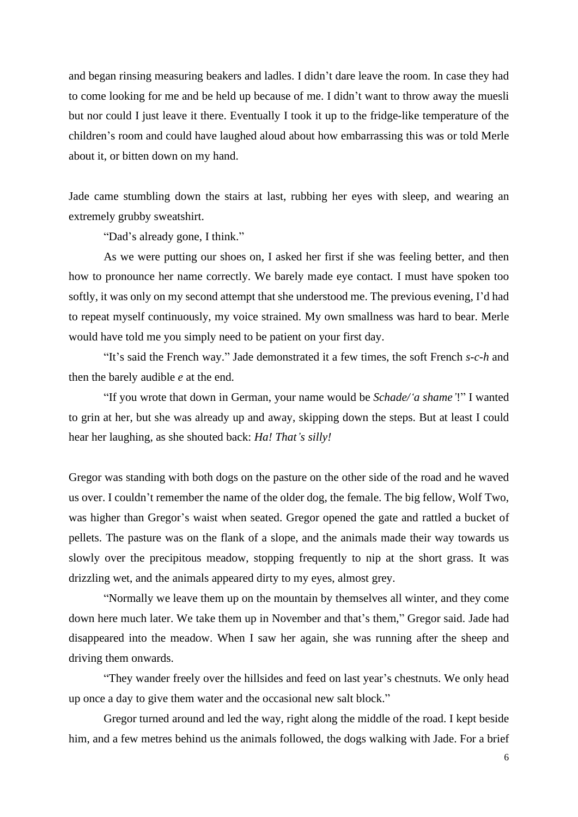and began rinsing measuring beakers and ladles. I didn't dare leave the room. In case they had to come looking for me and be held up because of me. I didn't want to throw away the muesli but nor could I just leave it there. Eventually I took it up to the fridge-like temperature of the children's room and could have laughed aloud about how embarrassing this was or told Merle about it, or bitten down on my hand.

Jade came stumbling down the stairs at last, rubbing her eyes with sleep, and wearing an extremely grubby sweatshirt.

"Dad's already gone, I think."

As we were putting our shoes on, I asked her first if she was feeling better, and then how to pronounce her name correctly. We barely made eye contact. I must have spoken too softly, it was only on my second attempt that she understood me. The previous evening, I'd had to repeat myself continuously, my voice strained. My own smallness was hard to bear. Merle would have told me you simply need to be patient on your first day.

"It's said the French way." Jade demonstrated it a few times, the soft French *s-c-h* and then the barely audible *e* at the end.

"If you wrote that down in German, your name would be *Schade/'a shame'*!" I wanted to grin at her, but she was already up and away, skipping down the steps. But at least I could hear her laughing, as she shouted back: *Ha! That's silly!*

Gregor was standing with both dogs on the pasture on the other side of the road and he waved us over. I couldn't remember the name of the older dog, the female. The big fellow, Wolf Two, was higher than Gregor's waist when seated. Gregor opened the gate and rattled a bucket of pellets. The pasture was on the flank of a slope, and the animals made their way towards us slowly over the precipitous meadow, stopping frequently to nip at the short grass. It was drizzling wet, and the animals appeared dirty to my eyes, almost grey.

"Normally we leave them up on the mountain by themselves all winter, and they come down here much later. We take them up in November and that's them," Gregor said. Jade had disappeared into the meadow. When I saw her again, she was running after the sheep and driving them onwards.

"They wander freely over the hillsides and feed on last year's chestnuts. We only head up once a day to give them water and the occasional new salt block."

Gregor turned around and led the way, right along the middle of the road. I kept beside him, and a few metres behind us the animals followed, the dogs walking with Jade. For a brief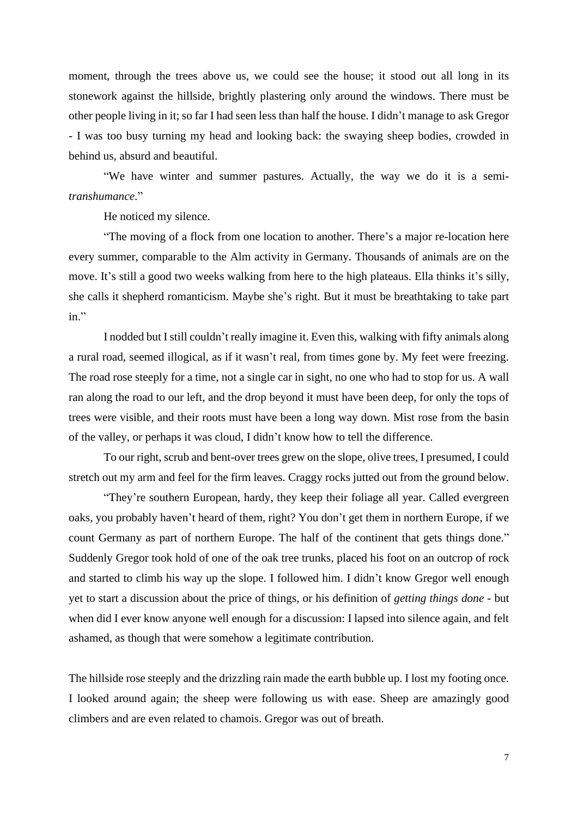moment, through the trees above us, we could see the house; it stood out all long in its stonework against the hillside, brightly plastering only around the windows. There must be other people living in it; so far I had seen less than half the house. I didn't manage to ask Gregor - I was too busy turning my head and looking back: the swaying sheep bodies, crowded in behind us, absurd and beautiful.

"We have winter and summer pastures. Actually, the way we do it is a semi*transhumance*."

He noticed my silence.

"The moving of a flock from one location to another. There's a major re-location here every summer, comparable to the Alm activity in Germany. Thousands of animals are on the move. It's still a good two weeks walking from here to the high plateaus. Ella thinks it's silly, she calls it shepherd romanticism. Maybe she's right. But it must be breathtaking to take part in."

I nodded but Istill couldn't really imagine it. Even this, walking with fifty animals along a rural road, seemed illogical, as if it wasn't real, from times gone by. My feet were freezing. The road rose steeply for a time, not a single car in sight, no one who had to stop for us. A wall ran along the road to our left, and the drop beyond it must have been deep, for only the tops of trees were visible, and their roots must have been a long way down. Mist rose from the basin of the valley, or perhaps it was cloud, I didn't know how to tell the difference.

To our right, scrub and bent-over trees grew on the slope, olive trees, I presumed, I could stretch out my arm and feel for the firm leaves. Craggy rocks jutted out from the ground below.

"They're southern European, hardy, they keep their foliage all year. Called evergreen oaks, you probably haven't heard of them, right? You don't get them in northern Europe, if we count Germany as part of northern Europe. The half of the continent that gets things done." Suddenly Gregor took hold of one of the oak tree trunks, placed his foot on an outcrop of rock and started to climb his way up the slope. I followed him. I didn't know Gregor well enough yet to start a discussion about the price of things, or his definition of *getting things done* - but when did I ever know anyone well enough for a discussion: I lapsed into silence again, and felt ashamed, as though that were somehow a legitimate contribution.

The hillside rose steeply and the drizzling rain made the earth bubble up. I lost my footing once. I looked around again; the sheep were following us with ease. Sheep are amazingly good climbers and are even related to chamois. Gregor was out of breath.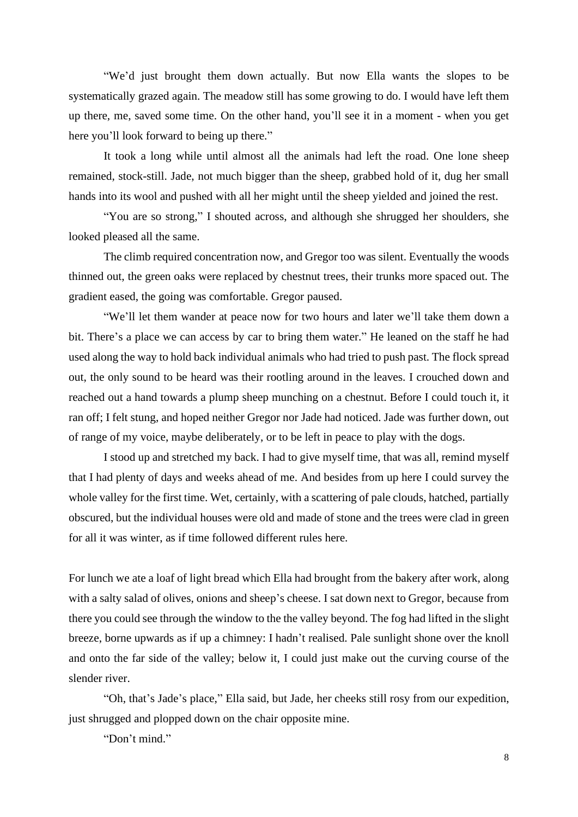"We'd just brought them down actually. But now Ella wants the slopes to be systematically grazed again. The meadow still has some growing to do. I would have left them up there, me, saved some time. On the other hand, you'll see it in a moment - when you get here you'll look forward to being up there."

It took a long while until almost all the animals had left the road. One lone sheep remained, stock-still. Jade, not much bigger than the sheep, grabbed hold of it, dug her small hands into its wool and pushed with all her might until the sheep yielded and joined the rest.

"You are so strong," I shouted across, and although she shrugged her shoulders, she looked pleased all the same.

The climb required concentration now, and Gregor too was silent. Eventually the woods thinned out, the green oaks were replaced by chestnut trees, their trunks more spaced out. The gradient eased, the going was comfortable. Gregor paused.

"We'll let them wander at peace now for two hours and later we'll take them down a bit. There's a place we can access by car to bring them water." He leaned on the staff he had used along the way to hold back individual animals who had tried to push past. The flock spread out, the only sound to be heard was their rootling around in the leaves. I crouched down and reached out a hand towards a plump sheep munching on a chestnut. Before I could touch it, it ran off; I felt stung, and hoped neither Gregor nor Jade had noticed. Jade was further down, out of range of my voice, maybe deliberately, or to be left in peace to play with the dogs.

I stood up and stretched my back. I had to give myself time, that was all, remind myself that I had plenty of days and weeks ahead of me. And besides from up here I could survey the whole valley for the first time. Wet, certainly, with a scattering of pale clouds, hatched, partially obscured, but the individual houses were old and made of stone and the trees were clad in green for all it was winter, as if time followed different rules here.

For lunch we ate a loaf of light bread which Ella had brought from the bakery after work, along with a salty salad of olives, onions and sheep's cheese. I sat down next to Gregor, because from there you could see through the window to the the valley beyond. The fog had lifted in the slight breeze, borne upwards as if up a chimney: I hadn't realised. Pale sunlight shone over the knoll and onto the far side of the valley; below it, I could just make out the curving course of the slender river.

"Oh, that's Jade's place," Ella said, but Jade, her cheeks still rosy from our expedition, just shrugged and plopped down on the chair opposite mine.

"Don't mind."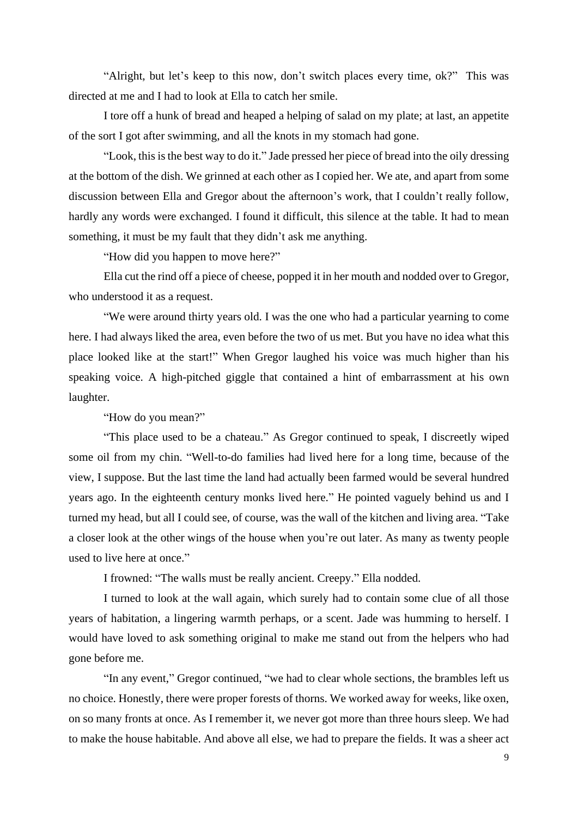"Alright, but let's keep to this now, don't switch places every time, ok?" This was directed at me and I had to look at Ella to catch her smile.

I tore off a hunk of bread and heaped a helping of salad on my plate; at last, an appetite of the sort I got after swimming, and all the knots in my stomach had gone.

"Look, this is the best way to do it." Jade pressed her piece of bread into the oily dressing at the bottom of the dish. We grinned at each other as I copied her. We ate, and apart from some discussion between Ella and Gregor about the afternoon's work, that I couldn't really follow, hardly any words were exchanged. I found it difficult, this silence at the table. It had to mean something, it must be my fault that they didn't ask me anything.

"How did you happen to move here?"

Ella cut the rind off a piece of cheese, popped it in her mouth and nodded over to Gregor, who understood it as a request.

"We were around thirty years old. I was the one who had a particular yearning to come here. I had always liked the area, even before the two of us met. But you have no idea what this place looked like at the start!" When Gregor laughed his voice was much higher than his speaking voice. A high-pitched giggle that contained a hint of embarrassment at his own laughter.

"How do you mean?"

"This place used to be a chateau." As Gregor continued to speak, I discreetly wiped some oil from my chin. "Well-to-do families had lived here for a long time, because of the view, I suppose. But the last time the land had actually been farmed would be several hundred years ago. In the eighteenth century monks lived here." He pointed vaguely behind us and I turned my head, but all I could see, of course, was the wall of the kitchen and living area. "Take a closer look at the other wings of the house when you're out later. As many as twenty people used to live here at once."

I frowned: "The walls must be really ancient. Creepy." Ella nodded.

I turned to look at the wall again, which surely had to contain some clue of all those years of habitation, a lingering warmth perhaps, or a scent. Jade was humming to herself. I would have loved to ask something original to make me stand out from the helpers who had gone before me.

"In any event," Gregor continued, "we had to clear whole sections, the brambles left us no choice. Honestly, there were proper forests of thorns. We worked away for weeks, like oxen, on so many fronts at once. As I remember it, we never got more than three hours sleep. We had to make the house habitable. And above all else, we had to prepare the fields. It was a sheer act